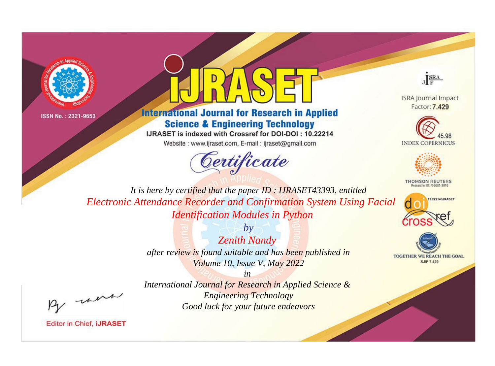



## **International Journal for Research in Applied Science & Engineering Technology**

IJRASET is indexed with Crossref for DOI-DOI: 10.22214

Website: www.ijraset.com, E-mail: ijraset@gmail.com





**ISRA Journal Impact** Factor: 7.429





**THOMSON REUTERS** 



TOGETHER WE REACH THE GOAL **SJIF 7.429** 

*It is here by certified that the paper ID : IJRASET43393, entitled Electronic Attendance Recorder and Confirmation System Using Facial Identification Modules in Python*

> *by Zenith Nandy after review is found suitable and has been published in Volume 10, Issue V, May 2022*

, un

*International Journal for Research in Applied Science & Engineering Technology Good luck for your future endeavors*

*in*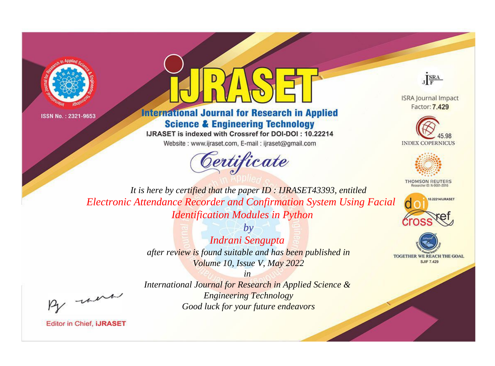



## **International Journal for Research in Applied Science & Engineering Technology**

IJRASET is indexed with Crossref for DOI-DOI: 10.22214

Website: www.ijraset.com, E-mail: ijraset@gmail.com





**ISRA Journal Impact** Factor: 7.429





**THOMSON REUTERS** 



TOGETHER WE REACH THE GOAL **SJIF 7.429** 

It is here by certified that the paper ID: IJRASET43393, entitled **Electronic Attendance Recorder and Confirmation System Using Facial Identification Modules in Python** 

> $b\nu$ Indrani Sengupta after review is found suitable and has been published in Volume 10, Issue V, May 2022

> > $in$

were

**Editor in Chief, IJRASET** 

International Journal for Research in Applied Science & **Engineering Technology** Good luck for your future endeavors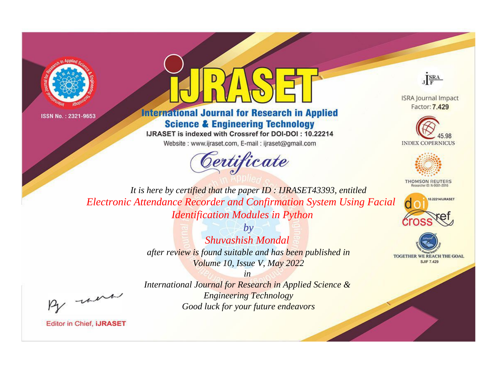



**International Journal for Research in Applied Science & Engineering Technology** 

IJRASET is indexed with Crossref for DOI-DOI: 10.22214

Website: www.ijraset.com, E-mail: ijraset@gmail.com





**ISRA Journal Impact** Factor: 7.429





**THOMSON REUTERS** 



TOGETHER WE REACH THE GOAL **SJIF 7.429** 

*It is here by certified that the paper ID : IJRASET43393, entitled Electronic Attendance Recorder and Confirmation System Using Facial Identification Modules in Python*

> *by Shuvashish Mondal after review is found suitable and has been published in Volume 10, Issue V, May 2022*

, un

*International Journal for Research in Applied Science & Engineering Technology Good luck for your future endeavors*

*in*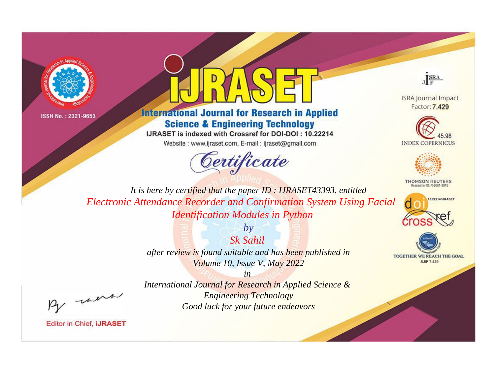



## **International Journal for Research in Applied Science & Engineering Technology**

IJRASET is indexed with Crossref for DOI-DOI: 10.22214

Website: www.ijraset.com, E-mail: ijraset@gmail.com





**ISRA Journal Impact** Factor: 7.429





**THOMSON REUTERS** 



TOGETHER WE REACH THE GOAL **SJIF 7.429** 

*It is here by certified that the paper ID : IJRASET43393, entitled Electronic Attendance Recorder and Confirmation System Using Facial Identification Modules in Python*

> *Sk Sahil after review is found suitable and has been published in Volume 10, Issue V, May 2022*

*by*

, un

*International Journal for Research in Applied Science & Engineering Technology Good luck for your future endeavors*

*in*